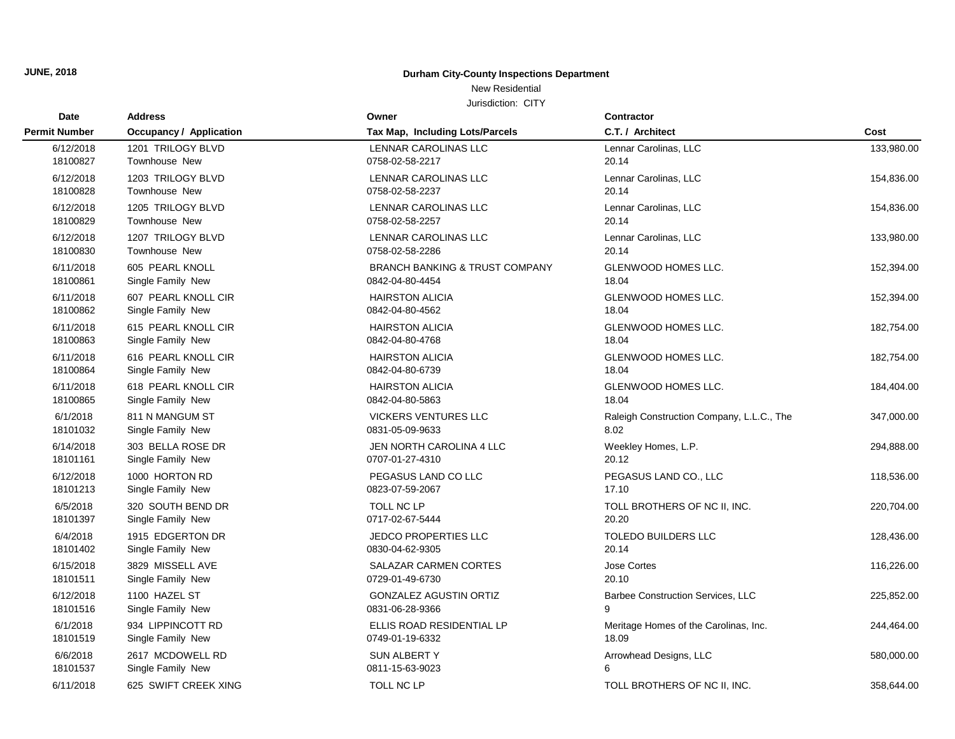## New Residential

| Date                 | <b>Address</b>                 | Owner                                     | <b>Contractor</b>                         |            |
|----------------------|--------------------------------|-------------------------------------------|-------------------------------------------|------------|
| <b>Permit Number</b> | <b>Occupancy / Application</b> | Tax Map, Including Lots/Parcels           | C.T. / Architect                          | Cost       |
| 6/12/2018            | 1201 TRILOGY BLVD              | <b>LENNAR CAROLINAS LLC</b>               | Lennar Carolinas, LLC                     | 133,980.00 |
| 18100827             | Townhouse New                  | 0758-02-58-2217                           | 20.14                                     |            |
| 6/12/2018            | 1203 TRILOGY BLVD              | LENNAR CAROLINAS LLC                      | Lennar Carolinas, LLC                     | 154,836.00 |
| 18100828             | Townhouse New                  | 0758-02-58-2237                           | 20.14                                     |            |
| 6/12/2018            | 1205 TRILOGY BLVD              | LENNAR CAROLINAS LLC                      | Lennar Carolinas, LLC                     | 154,836.00 |
| 18100829             | Townhouse New                  | 0758-02-58-2257                           | 20.14                                     |            |
| 6/12/2018            | 1207 TRILOGY BLVD              | <b>LENNAR CAROLINAS LLC</b>               | Lennar Carolinas, LLC                     | 133,980.00 |
| 18100830             | Townhouse New                  | 0758-02-58-2286                           | 20.14                                     |            |
| 6/11/2018            | 605 PEARL KNOLL                | <b>BRANCH BANKING &amp; TRUST COMPANY</b> | <b>GLENWOOD HOMES LLC.</b>                | 152,394.00 |
| 18100861             | Single Family New              | 0842-04-80-4454                           | 18.04                                     |            |
| 6/11/2018            | 607 PEARL KNOLL CIR            | <b>HAIRSTON ALICIA</b>                    | <b>GLENWOOD HOMES LLC.</b>                | 152,394.00 |
| 18100862             | Single Family New              | 0842-04-80-4562                           | 18.04                                     |            |
| 6/11/2018            | 615 PEARL KNOLL CIR            | <b>HAIRSTON ALICIA</b>                    | GLENWOOD HOMES LLC.                       | 182,754.00 |
| 18100863             | Single Family New              | 0842-04-80-4768                           | 18.04                                     |            |
| 6/11/2018            | 616 PEARL KNOLL CIR            | <b>HAIRSTON ALICIA</b>                    | GLENWOOD HOMES LLC.                       | 182,754.00 |
| 18100864             | Single Family New              | 0842-04-80-6739                           | 18.04                                     |            |
| 6/11/2018            | 618 PEARL KNOLL CIR            | <b>HAIRSTON ALICIA</b>                    | GLENWOOD HOMES LLC.                       | 184,404.00 |
| 18100865             | Single Family New              | 0842-04-80-5863                           | 18.04                                     |            |
| 6/1/2018             | 811 N MANGUM ST                | <b>VICKERS VENTURES LLC</b>               | Raleigh Construction Company, L.L.C., The | 347,000.00 |
| 18101032             | Single Family New              | 0831-05-09-9633                           | 8.02                                      |            |
| 6/14/2018            | 303 BELLA ROSE DR              | JEN NORTH CAROLINA 4 LLC                  | Weekley Homes, L.P.                       | 294,888.00 |
| 18101161             | Single Family New              | 0707-01-27-4310                           | 20.12                                     |            |
| 6/12/2018            | 1000 HORTON RD                 | PEGASUS LAND CO LLC                       | PEGASUS LAND CO., LLC                     | 118,536.00 |
| 18101213             | Single Family New              | 0823-07-59-2067                           | 17.10                                     |            |
| 6/5/2018             | 320 SOUTH BEND DR              | TOLL NC LP                                | TOLL BROTHERS OF NC II, INC.              | 220,704.00 |
| 18101397             | Single Family New              | 0717-02-67-5444                           | 20.20                                     |            |
| 6/4/2018             | 1915 EDGERTON DR               | <b>JEDCO PROPERTIES LLC</b>               | <b>TOLEDO BUILDERS LLC</b>                | 128,436.00 |
| 18101402             | Single Family New              | 0830-04-62-9305                           | 20.14                                     |            |
| 6/15/2018            | 3829 MISSELL AVE               | SALAZAR CARMEN CORTES                     | <b>Jose Cortes</b>                        | 116,226.00 |
| 18101511             | Single Family New              | 0729-01-49-6730                           | 20.10                                     |            |
| 6/12/2018            | 1100 HAZEL ST                  | <b>GONZALEZ AGUSTIN ORTIZ</b>             | <b>Barbee Construction Services, LLC</b>  | 225,852.00 |
| 18101516             | Single Family New              | 0831-06-28-9366                           | 9                                         |            |
| 6/1/2018             | 934 LIPPINCOTT RD              | ELLIS ROAD RESIDENTIAL LP                 | Meritage Homes of the Carolinas, Inc.     | 244,464.00 |
| 18101519             | Single Family New              | 0749-01-19-6332                           | 18.09                                     |            |
| 6/6/2018             | 2617 MCDOWELL RD               | <b>SUN ALBERTY</b>                        | Arrowhead Designs, LLC                    | 580,000.00 |
| 18101537             | Single Family New              | 0811-15-63-9023                           | 6                                         |            |
| 6/11/2018            | 625 SWIFT CREEK XING           | TOLL NC LP                                | TOLL BROTHERS OF NC II, INC.              | 358,644.00 |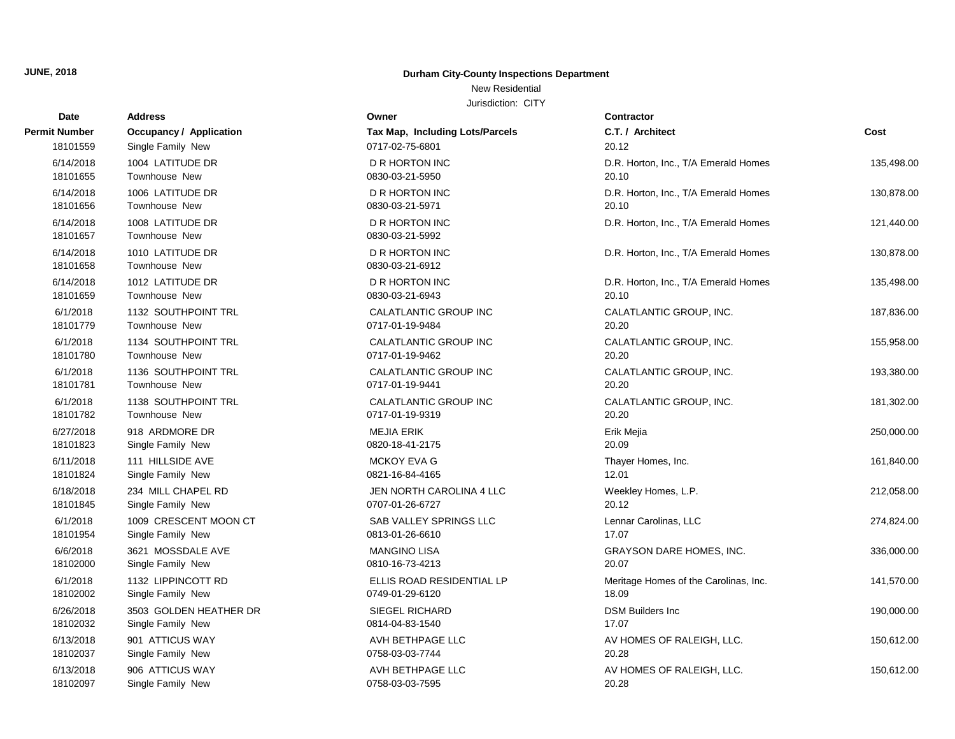New Residential

| Date                  | <b>Address</b>                           | Owner                                    | Contractor                            |            |
|-----------------------|------------------------------------------|------------------------------------------|---------------------------------------|------------|
| Permit Number         | <b>Occupancy / Application</b>           | Tax Map, Including Lots/Parcels          | C.T. / Architect                      | Cost       |
| 18101559              | Single Family New                        | 0717-02-75-6801                          | 20.12                                 |            |
| 6/14/2018             | 1004 LATITUDE DR                         | <b>D R HORTON INC</b>                    | D.R. Horton, Inc., T/A Emerald Homes  | 135,498.00 |
| 18101655              | <b>Townhouse New</b>                     | 0830-03-21-5950                          | 20.10                                 |            |
| 6/14/2018             | 1006 LATITUDE DR                         | <b>D R HORTON INC</b>                    | D.R. Horton, Inc., T/A Emerald Homes  | 130,878.00 |
| 18101656              | Townhouse New                            | 0830-03-21-5971                          | 20.10                                 |            |
| 6/14/2018<br>18101657 | 1008 LATITUDE DR<br><b>Townhouse New</b> | D R HORTON INC<br>0830-03-21-5992        | D.R. Horton, Inc., T/A Emerald Homes  | 121,440.00 |
| 6/14/2018<br>18101658 | 1010 LATITUDE DR<br>Townhouse New        | <b>D R HORTON INC</b><br>0830-03-21-6912 | D.R. Horton, Inc., T/A Emerald Homes  | 130,878.00 |
| 6/14/2018             | 1012 LATITUDE DR                         | D R HORTON INC                           | D.R. Horton, Inc., T/A Emerald Homes  | 135,498.00 |
| 18101659              | Townhouse New                            | 0830-03-21-6943                          | 20.10                                 |            |
| 6/1/2018              | 1132 SOUTHPOINT TRL                      | CALATLANTIC GROUP INC                    | CALATLANTIC GROUP, INC.               | 187,836.00 |
| 18101779              | Townhouse New                            | 0717-01-19-9484                          | 20.20                                 |            |
| 6/1/2018              | 1134 SOUTHPOINT TRL                      | CALATLANTIC GROUP INC                    | CALATLANTIC GROUP, INC.               | 155,958.00 |
| 18101780              | Townhouse New                            | 0717-01-19-9462                          | 20.20                                 |            |
| 6/1/2018              | 1136 SOUTHPOINT TRL                      | CALATLANTIC GROUP INC                    | CALATLANTIC GROUP, INC.               | 193,380.00 |
| 18101781              | Townhouse New                            | 0717-01-19-9441                          | 20.20                                 |            |
| 6/1/2018              | 1138 SOUTHPOINT TRL                      | CALATLANTIC GROUP INC                    | CALATLANTIC GROUP, INC.               | 181,302.00 |
| 18101782              | Townhouse New                            | 0717-01-19-9319                          | 20.20                                 |            |
| 6/27/2018             | 918 ARDMORE DR                           | <b>MEJIA ERIK</b>                        | Erik Mejia                            | 250,000.00 |
| 18101823              | Single Family New                        | 0820-18-41-2175                          | 20.09                                 |            |
| 6/11/2018             | 111 HILLSIDE AVE                         | <b>MCKOY EVA G</b>                       | Thayer Homes, Inc.                    | 161,840.00 |
| 18101824              | Single Family New                        | 0821-16-84-4165                          | 12.01                                 |            |
| 6/18/2018             | 234 MILL CHAPEL RD                       | JEN NORTH CAROLINA 4 LLC                 | Weekley Homes, L.P.                   | 212,058.00 |
| 18101845              | Single Family New                        | 0707-01-26-6727                          | 20.12                                 |            |
| 6/1/2018              | 1009 CRESCENT MOON CT                    | SAB VALLEY SPRINGS LLC                   | Lennar Carolinas, LLC                 | 274,824.00 |
| 18101954              | Single Family New                        | 0813-01-26-6610                          | 17.07                                 |            |
| 6/6/2018              | 3621 MOSSDALE AVE                        | <b>MANGINO LISA</b>                      | <b>GRAYSON DARE HOMES, INC.</b>       | 336,000.00 |
| 18102000              | Single Family New                        | 0810-16-73-4213                          | 20.07                                 |            |
| 6/1/2018              | 1132 LIPPINCOTT RD                       | ELLIS ROAD RESIDENTIAL LP                | Meritage Homes of the Carolinas, Inc. | 141,570.00 |
| 18102002              | Single Family New                        | 0749-01-29-6120                          | 18.09                                 |            |
| 6/26/2018             | 3503 GOLDEN HEATHER DR                   | <b>SIEGEL RICHARD</b>                    | <b>DSM Builders Inc</b>               | 190,000.00 |
| 18102032              | Single Family New                        | 0814-04-83-1540                          | 17.07                                 |            |
| 6/13/2018             | 901 ATTICUS WAY                          | AVH BETHPAGE LLC                         | AV HOMES OF RALEIGH, LLC.             | 150,612.00 |
| 18102037              | Single Family New                        | 0758-03-03-7744                          | 20.28                                 |            |
| 6/13/2018             | 906 ATTICUS WAY                          | AVH BETHPAGE LLC                         | AV HOMES OF RALEIGH, LLC.             | 150,612.00 |
| 18102097              | Single Family New                        | 0758-03-03-7595                          | 20.28                                 |            |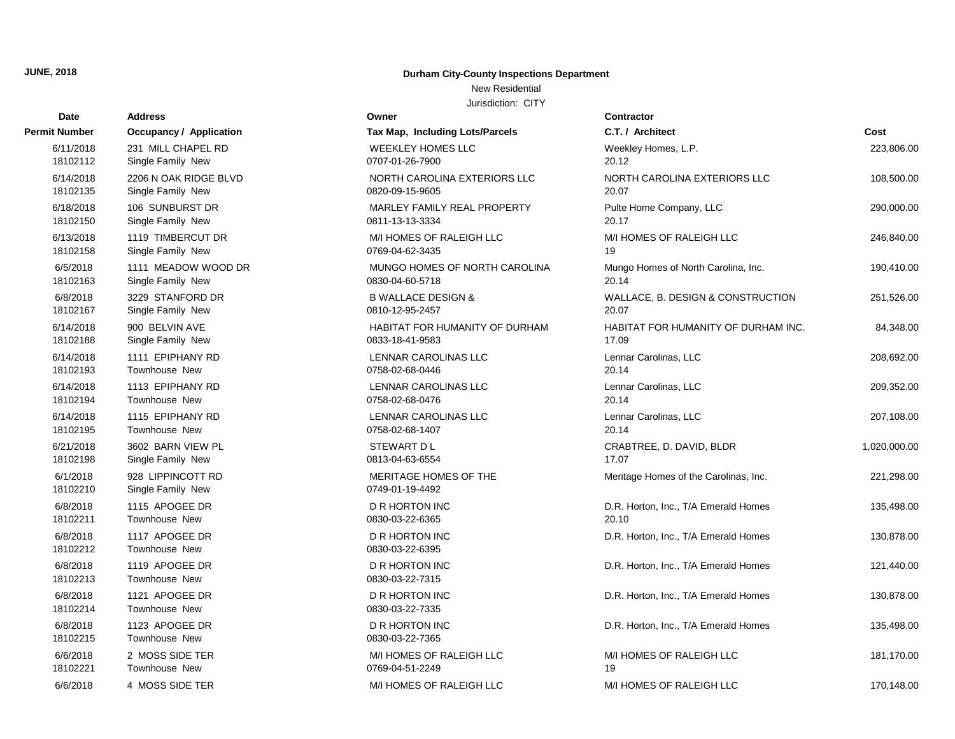#### New Residential

| Date                 | <b>Address</b>                         | Owner                                    | <b>Contractor</b>                     |              |
|----------------------|----------------------------------------|------------------------------------------|---------------------------------------|--------------|
| Permit Number        | <b>Occupancy / Application</b>         | Tax Map, Including Lots/Parcels          | C.T. / Architect                      | Cost         |
| 6/11/2018            | 231 MILL CHAPEL RD                     | <b>WEEKLEY HOMES LLC</b>                 | Weekley Homes, L.P.                   | 223,806.00   |
| 18102112             | Single Family New                      | 0707-01-26-7900                          | 20.12                                 |              |
| 6/14/2018            | 2206 N OAK RIDGE BLVD                  | NORTH CAROLINA EXTERIORS LLC             | NORTH CAROLINA EXTERIORS LLC          | 108,500.00   |
| 18102135             | Single Family New                      | 0820-09-15-9605                          | 20.07                                 |              |
| 6/18/2018            | 106 SUNBURST DR                        | MARLEY FAMILY REAL PROPERTY              | Pulte Home Company, LLC               | 290,000.00   |
| 18102150             | Single Family New                      | 0811-13-13-3334                          | 20.17                                 |              |
| 6/13/2018            | 1119 TIMBERCUT DR                      | M/I HOMES OF RALEIGH LLC                 | M/I HOMES OF RALEIGH LLC              | 246,840.00   |
| 18102158             | Single Family New                      | 0769-04-62-3435                          | 19                                    |              |
| 6/5/2018             | 1111 MEADOW WOOD DR                    | MUNGO HOMES OF NORTH CAROLINA            | Mungo Homes of North Carolina, Inc.   | 190,410.00   |
| 18102163             | Single Family New                      | 0830-04-60-5718                          | 20.14                                 |              |
| 6/8/2018             | 3229 STANFORD DR                       | <b>B WALLACE DESIGN &amp;</b>            | WALLACE, B. DESIGN & CONSTRUCTION     | 251,526.00   |
| 18102167             | Single Family New                      | 0810-12-95-2457                          | 20.07                                 |              |
| 6/14/2018            | 900 BELVIN AVE                         | HABITAT FOR HUMANITY OF DURHAM           | HABITAT FOR HUMANITY OF DURHAM INC.   | 84,348.00    |
| 18102188             | Single Family New                      | 0833-18-41-9583                          | 17.09                                 |              |
| 6/14/2018            | 1111 EPIPHANY RD                       | LENNAR CAROLINAS LLC                     | Lennar Carolinas, LLC                 | 208,692.00   |
| 18102193             | Townhouse New                          | 0758-02-68-0446                          | 20.14                                 |              |
| 6/14/2018            | 1113 EPIPHANY RD                       | LENNAR CAROLINAS LLC                     | Lennar Carolinas, LLC                 | 209,352.00   |
| 18102194             | Townhouse New                          | 0758-02-68-0476                          | 20.14                                 |              |
| 6/14/2018            | 1115 EPIPHANY RD                       | LENNAR CAROLINAS LLC                     | Lennar Carolinas, LLC                 | 207,108.00   |
| 18102195             | Townhouse New                          | 0758-02-68-1407                          | 20.14                                 |              |
| 6/21/2018            | 3602 BARN VIEW PL                      | STEWART D L                              | CRABTREE, D. DAVID, BLDR              | 1,020,000.00 |
| 18102198             | Single Family New                      | 0813-04-63-6554                          | 17.07                                 |              |
| 6/1/2018<br>18102210 | 928 LIPPINCOTT RD<br>Single Family New | MERITAGE HOMES OF THE<br>0749-01-19-4492 | Meritage Homes of the Carolinas, Inc. | 221,298.00   |
| 6/8/2018             | 1115 APOGEE DR                         | D R HORTON INC                           | D.R. Horton, Inc., T/A Emerald Homes  | 135,498.00   |
| 18102211             | Townhouse New                          | 0830-03-22-6365                          | 20.10                                 |              |
| 6/8/2018<br>18102212 | 1117 APOGEE DR<br>Townhouse New        | <b>D R HORTON INC</b><br>0830-03-22-6395 | D.R. Horton, Inc., T/A Emerald Homes  | 130,878.00   |
| 6/8/2018<br>18102213 | 1119 APOGEE DR<br>Townhouse New        | D R HORTON INC<br>0830-03-22-7315        | D.R. Horton, Inc., T/A Emerald Homes  | 121,440.00   |
| 6/8/2018<br>18102214 | 1121 APOGEE DR<br>Townhouse New        | D R HORTON INC<br>0830-03-22-7335        | D.R. Horton, Inc., T/A Emerald Homes  | 130,878.00   |
| 6/8/2018<br>18102215 | 1123 APOGEE DR<br>Townhouse New        | <b>D R HORTON INC</b><br>0830-03-22-7365 | D.R. Horton, Inc., T/A Emerald Homes  | 135,498.00   |
| 6/6/2018             | 2 MOSS SIDE TER                        | M/I HOMES OF RALEIGH LLC                 | M/I HOMES OF RALEIGH LLC              | 181,170.00   |
| 18102221             | <b>Townhouse New</b>                   | 0769-04-51-2249                          | 19                                    |              |
| 6/6/2018             | 4 MOSS SIDE TER                        | M/I HOMES OF RALEIGH LLC                 | M/I HOMES OF RALEIGH LLC              | 170.148.00   |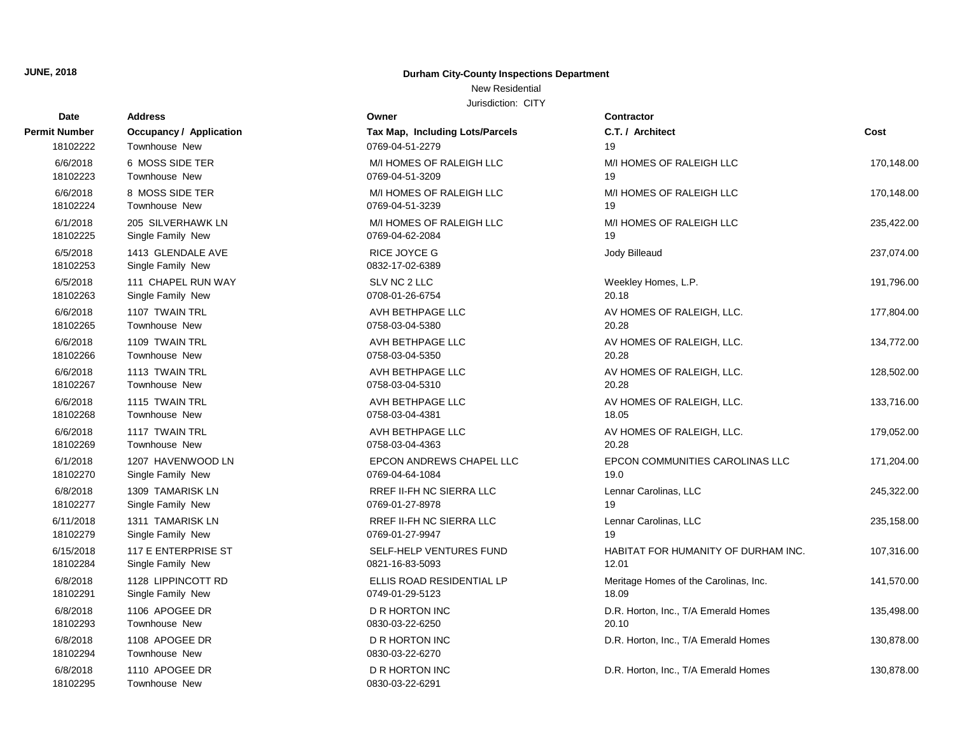#### New Residential

| Date                 | <b>Address</b>                         | Owner                                    | <b>Contractor</b>                     |            |
|----------------------|----------------------------------------|------------------------------------------|---------------------------------------|------------|
| Permit Number        | <b>Occupancy / Application</b>         | Tax Map, Including Lots/Parcels          | C.T. / Architect                      | Cost       |
| 18102222             | <b>Townhouse New</b>                   | 0769-04-51-2279                          | 19                                    |            |
| 6/6/2018             | 6 MOSS SIDE TER                        | M/I HOMES OF RALEIGH LLC                 | M/I HOMES OF RALEIGH LLC              | 170,148.00 |
| 18102223             | <b>Townhouse New</b>                   | 0769-04-51-3209                          | 19                                    |            |
| 6/6/2018             | 8 MOSS SIDE TER                        | M/I HOMES OF RALEIGH LLC                 | M/I HOMES OF RALEIGH LLC              | 170,148.00 |
| 18102224             | <b>Townhouse New</b>                   | 0769-04-51-3239                          | 19                                    |            |
| 6/1/2018             | 205 SILVERHAWK LN                      | M/I HOMES OF RALEIGH LLC                 | M/I HOMES OF RALEIGH LLC              | 235,422.00 |
| 18102225             | Single Family New                      | 0769-04-62-2084                          | 19                                    |            |
| 6/5/2018<br>18102253 | 1413 GLENDALE AVE<br>Single Family New | RICE JOYCE G<br>0832-17-02-6389          | Jody Billeaud                         | 237,074.00 |
| 6/5/2018             | 111 CHAPEL RUN WAY                     | SLV NC 2 LLC                             | Weekley Homes, L.P.                   | 191,796.00 |
| 18102263             | Single Family New                      | 0708-01-26-6754                          | 20.18                                 |            |
| 6/6/2018             | 1107 TWAIN TRL                         | AVH BETHPAGE LLC                         | AV HOMES OF RALEIGH, LLC.             | 177,804.00 |
| 18102265             | <b>Townhouse New</b>                   | 0758-03-04-5380                          | 20.28                                 |            |
| 6/6/2018             | 1109 TWAIN TRL                         | AVH BETHPAGE LLC                         | AV HOMES OF RALEIGH, LLC.             | 134,772.00 |
| 18102266             | Townhouse New                          | 0758-03-04-5350                          | 20.28                                 |            |
| 6/6/2018             | 1113 TWAIN TRL                         | AVH BETHPAGE LLC                         | AV HOMES OF RALEIGH, LLC.             | 128,502.00 |
| 18102267             | <b>Townhouse New</b>                   | 0758-03-04-5310                          | 20.28                                 |            |
| 6/6/2018             | 1115 TWAIN TRL                         | AVH BETHPAGE LLC                         | AV HOMES OF RALEIGH, LLC.             | 133,716.00 |
| 18102268             | <b>Townhouse New</b>                   | 0758-03-04-4381                          | 18.05                                 |            |
| 6/6/2018             | 1117 TWAIN TRL                         | AVH BETHPAGE LLC                         | AV HOMES OF RALEIGH, LLC.             | 179,052.00 |
| 18102269             | <b>Townhouse New</b>                   | 0758-03-04-4363                          | 20.28                                 |            |
| 6/1/2018             | 1207 HAVENWOOD LN                      | EPCON ANDREWS CHAPEL LLC                 | EPCON COMMUNITIES CAROLINAS LLC       | 171,204.00 |
| 18102270             | Single Family New                      | 0769-04-64-1084                          | 19.0                                  |            |
| 6/8/2018             | 1309 TAMARISK LN                       | RREF II-FH NC SIERRA LLC                 | Lennar Carolinas, LLC                 | 245,322.00 |
| 18102277             | Single Family New                      | 0769-01-27-8978                          | 19                                    |            |
| 6/11/2018            | 1311 TAMARISK LN                       | RREF II-FH NC SIERRA LLC                 | Lennar Carolinas, LLC                 | 235,158.00 |
| 18102279             | Single Family New                      | 0769-01-27-9947                          | 19                                    |            |
| 6/15/2018            | 117 E ENTERPRISE ST                    | SELF-HELP VENTURES FUND                  | HABITAT FOR HUMANITY OF DURHAM INC.   | 107,316.00 |
| 18102284             | Single Family New                      | 0821-16-83-5093                          | 12.01                                 |            |
| 6/8/2018             | 1128 LIPPINCOTT RD                     | ELLIS ROAD RESIDENTIAL LP                | Meritage Homes of the Carolinas, Inc. | 141,570.00 |
| 18102291             | Single Family New                      | 0749-01-29-5123                          | 18.09                                 |            |
| 6/8/2018             | 1106 APOGEE DR                         | D R HORTON INC                           | D.R. Horton, Inc., T/A Emerald Homes  | 135,498.00 |
| 18102293             | <b>Townhouse New</b>                   | 0830-03-22-6250                          | 20.10                                 |            |
| 6/8/2018<br>18102294 | 1108 APOGEE DR<br>Townhouse New        | D R HORTON INC<br>0830-03-22-6270        | D.R. Horton, Inc., T/A Emerald Homes  | 130,878.00 |
| 6/8/2018<br>18102295 | 1110 APOGEE DR<br><b>Townhouse New</b> | <b>D R HORTON INC</b><br>0830-03-22-6291 | D.R. Horton, Inc., T/A Emerald Homes  | 130,878.00 |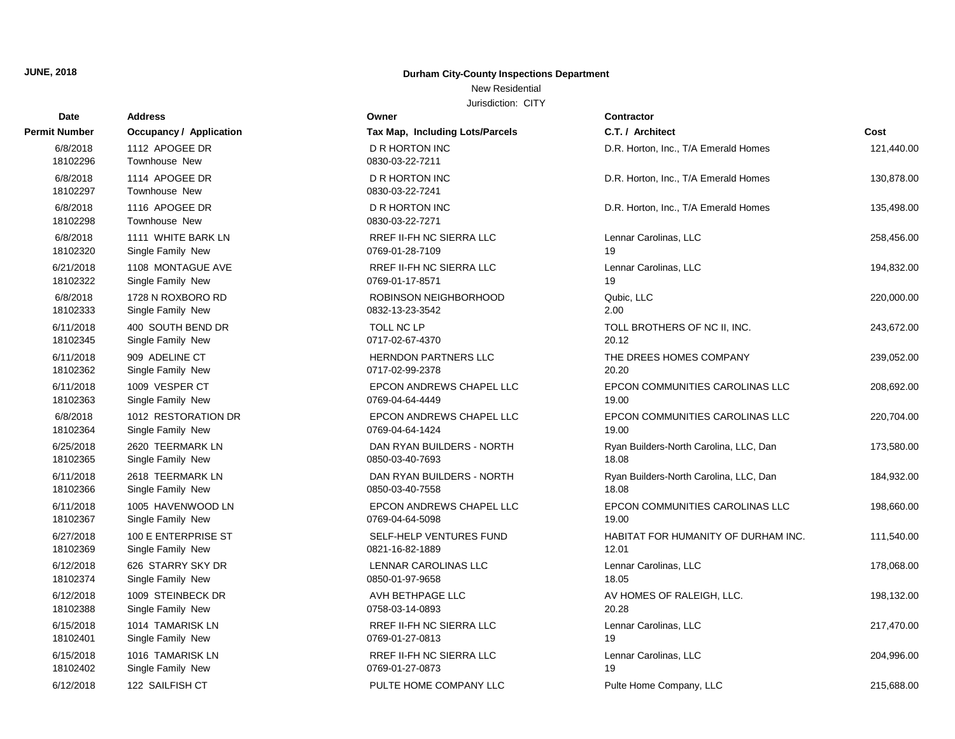#### New Residential

| Date                 | <b>Address</b>                  | Owner                                    | Contractor                             |            |
|----------------------|---------------------------------|------------------------------------------|----------------------------------------|------------|
| Permit Number        | <b>Occupancy / Application</b>  | Tax Map, Including Lots/Parcels          | C.T. / Architect                       | Cost       |
| 6/8/2018<br>18102296 | 1112 APOGEE DR<br>Townhouse New | <b>D R HORTON INC</b><br>0830-03-22-7211 | D.R. Horton, Inc., T/A Emerald Homes   | 121,440.00 |
| 6/8/2018<br>18102297 | 1114 APOGEE DR<br>Townhouse New | D R HORTON INC<br>0830-03-22-7241        | D.R. Horton, Inc., T/A Emerald Homes   | 130,878.00 |
| 6/8/2018<br>18102298 | 1116 APOGEE DR<br>Townhouse New | <b>D R HORTON INC</b><br>0830-03-22-7271 | D.R. Horton, Inc., T/A Emerald Homes   | 135,498.00 |
| 6/8/2018             | 1111 WHITE BARK LN              | <b>RREF II-FH NC SIERRA LLC</b>          | Lennar Carolinas, LLC                  | 258,456.00 |
| 18102320             | Single Family New               | 0769-01-28-7109                          | 19                                     |            |
| 6/21/2018            | 1108 MONTAGUE AVE               | <b>RREF II-FH NC SIERRA LLC</b>          | Lennar Carolinas, LLC                  | 194,832.00 |
| 18102322             | Single Family New               | 0769-01-17-8571                          | 19                                     |            |
| 6/8/2018             | 1728 N ROXBORO RD               | ROBINSON NEIGHBORHOOD                    | Qubic, LLC                             | 220,000.00 |
| 18102333             | Single Family New               | 0832-13-23-3542                          | 2.00                                   |            |
| 6/11/2018            | 400 SOUTH BEND DR               | TOLL NC LP                               | TOLL BROTHERS OF NC II, INC.           | 243,672.00 |
| 18102345             | Single Family New               | 0717-02-67-4370                          | 20.12                                  |            |
| 6/11/2018            | 909 ADELINE CT                  | HERNDON PARTNERS LLC                     | THE DREES HOMES COMPANY                | 239,052.00 |
| 18102362             | Single Family New               | 0717-02-99-2378                          | 20.20                                  |            |
| 6/11/2018            | 1009 VESPER CT                  | EPCON ANDREWS CHAPEL LLC                 | EPCON COMMUNITIES CAROLINAS LLC        | 208,692.00 |
| 18102363             | Single Family New               | 0769-04-64-4449                          | 19.00                                  |            |
| 6/8/2018             | 1012 RESTORATION DR             | EPCON ANDREWS CHAPEL LLC                 | EPCON COMMUNITIES CAROLINAS LLC        | 220,704.00 |
| 18102364             | Single Family New               | 0769-04-64-1424                          | 19.00                                  |            |
| 6/25/2018            | 2620 TEERMARK LN                | DAN RYAN BUILDERS - NORTH                | Ryan Builders-North Carolina, LLC, Dan | 173,580.00 |
| 18102365             | Single Family New               | 0850-03-40-7693                          | 18.08                                  |            |
| 6/11/2018            | 2618 TEERMARK LN                | DAN RYAN BUILDERS - NORTH                | Ryan Builders-North Carolina, LLC, Dan | 184,932.00 |
| 18102366             | Single Family New               | 0850-03-40-7558                          | 18.08                                  |            |
| 6/11/2018            | 1005 HAVENWOOD LN               | EPCON ANDREWS CHAPEL LLC                 | EPCON COMMUNITIES CAROLINAS LLC        | 198,660.00 |
| 18102367             | Single Family New               | 0769-04-64-5098                          | 19.00                                  |            |
| 6/27/2018            | 100 E ENTERPRISE ST             | SELF-HELP VENTURES FUND                  | HABITAT FOR HUMANITY OF DURHAM INC.    | 111,540.00 |
| 18102369             | Single Family New               | 0821-16-82-1889                          | 12.01                                  |            |
| 6/12/2018            | 626 STARRY SKY DR               | LENNAR CAROLINAS LLC                     | Lennar Carolinas, LLC                  | 178,068.00 |
| 18102374             | Single Family New               | 0850-01-97-9658                          | 18.05                                  |            |
| 6/12/2018            | 1009 STEINBECK DR               | AVH BETHPAGE LLC                         | AV HOMES OF RALEIGH, LLC.              | 198,132.00 |
| 18102388             | Single Family New               | 0758-03-14-0893                          | 20.28                                  |            |
| 6/15/2018            | 1014 TAMARISK LN                | RREF II-FH NC SIERRA LLC                 | Lennar Carolinas, LLC                  | 217,470.00 |
| 18102401             | Single Family New               | 0769-01-27-0813                          | 19                                     |            |
| 6/15/2018            | 1016 TAMARISK LN                | RREF II-FH NC SIERRA LLC                 | Lennar Carolinas, LLC                  | 204,996.00 |
| 18102402             | Single Family New               | 0769-01-27-0873                          | 19                                     |            |
| 6/12/2018            | 122 SAILFISH CT                 | PULTE HOME COMPANY LLC                   | Pulte Home Company, LLC                | 215,688.00 |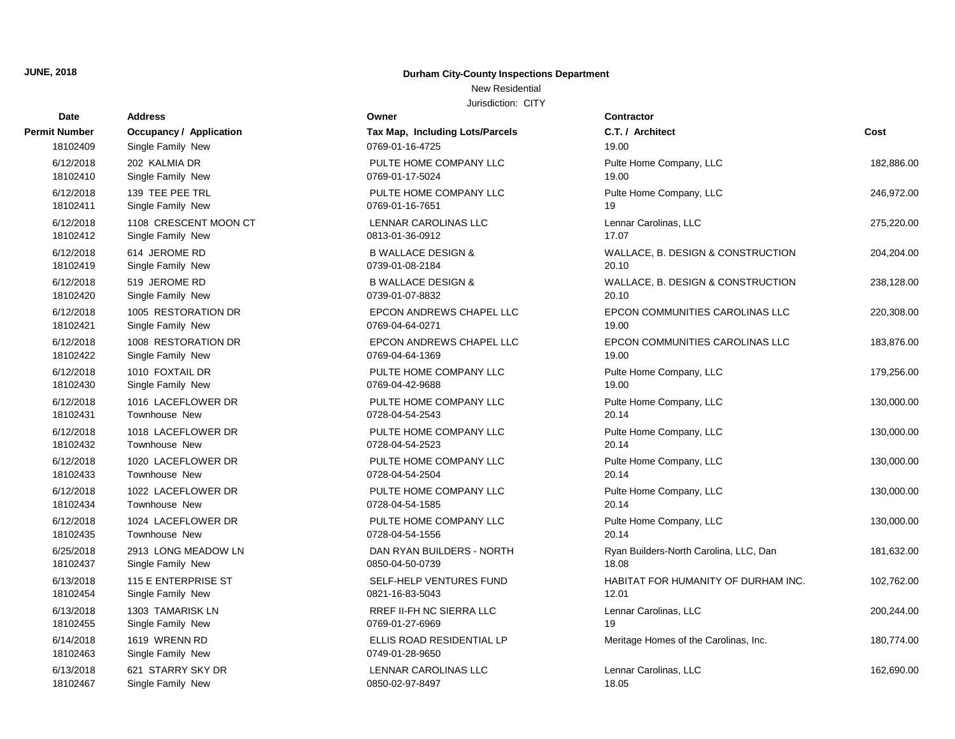#### New Residential

| Date                  | Address                            | Owner                                        | Contractor                             |            |
|-----------------------|------------------------------------|----------------------------------------------|----------------------------------------|------------|
| Permit Number         | <b>Occupancy / Application</b>     | Tax Map, Including Lots/Parcels              | C.T. / Architect                       | Cost       |
| 18102409              | Single Family New                  | 0769-01-16-4725                              | 19.00                                  |            |
| 6/12/2018             | 202 KALMIA DR                      | PULTE HOME COMPANY LLC                       | Pulte Home Company, LLC                | 182,886.00 |
| 18102410              | Single Family New                  | 0769-01-17-5024                              | 19.00                                  |            |
| 6/12/2018             | 139 TEE PEE TRL                    | PULTE HOME COMPANY LLC                       | Pulte Home Company, LLC                | 246,972.00 |
| 18102411              | Single Family New                  | 0769-01-16-7651                              | 19                                     |            |
| 6/12/2018             | 1108 CRESCENT MOON CT              | LENNAR CAROLINAS LLC                         | Lennar Carolinas, LLC                  | 275,220.00 |
| 18102412              | Single Family New                  | 0813-01-36-0912                              | 17.07                                  |            |
| 6/12/2018             | 614 JEROME RD                      | <b>B WALLACE DESIGN &amp;</b>                | WALLACE, B. DESIGN & CONSTRUCTION      | 204,204.00 |
| 18102419              | Single Family New                  | 0739-01-08-2184                              | 20.10                                  |            |
| 6/12/2018             | 519 JEROME RD                      | <b>B WALLACE DESIGN &amp;</b>                | WALLACE, B. DESIGN & CONSTRUCTION      | 238,128.00 |
| 18102420              | Single Family New                  | 0739-01-07-8832                              | 20.10                                  |            |
| 6/12/2018             | 1005 RESTORATION DR                | EPCON ANDREWS CHAPEL LLC                     | EPCON COMMUNITIES CAROLINAS LLC        | 220,308.00 |
| 18102421              | Single Family New                  | 0769-04-64-0271                              | 19.00                                  |            |
| 6/12/2018             | 1008 RESTORATION DR                | EPCON ANDREWS CHAPEL LLC                     | EPCON COMMUNITIES CAROLINAS LLC        | 183,876.00 |
| 18102422              | Single Family New                  | 0769-04-64-1369                              | 19.00                                  |            |
| 6/12/2018             | 1010 FOXTAIL DR                    | PULTE HOME COMPANY LLC                       | Pulte Home Company, LLC                | 179,256.00 |
| 18102430              | Single Family New                  | 0769-04-42-9688                              | 19.00                                  |            |
| 6/12/2018             | 1016 LACEFLOWER DR                 | PULTE HOME COMPANY LLC                       | Pulte Home Company, LLC                | 130,000.00 |
| 18102431              | <b>Townhouse New</b>               | 0728-04-54-2543                              | 20.14                                  |            |
| 6/12/2018             | 1018 LACEFLOWER DR                 | PULTE HOME COMPANY LLC                       | Pulte Home Company, LLC                | 130,000.00 |
| 18102432              | <b>Townhouse New</b>               | 0728-04-54-2523                              | 20.14                                  |            |
| 6/12/2018             | 1020 LACEFLOWER DR                 | PULTE HOME COMPANY LLC                       | Pulte Home Company, LLC                | 130,000.00 |
| 18102433              | <b>Townhouse New</b>               | 0728-04-54-2504                              | 20.14                                  |            |
| 6/12/2018             | 1022 LACEFLOWER DR                 | PULTE HOME COMPANY LLC                       | Pulte Home Company, LLC                | 130,000.00 |
| 18102434              | Townhouse New                      | 0728-04-54-1585                              | 20.14                                  |            |
| 6/12/2018             | 1024 LACEFLOWER DR                 | PULTE HOME COMPANY LLC                       | Pulte Home Company, LLC                | 130,000.00 |
| 18102435              | Townhouse New                      | 0728-04-54-1556                              | 20.14                                  |            |
| 6/25/2018             | 2913 LONG MEADOW LN                | DAN RYAN BUILDERS - NORTH                    | Ryan Builders-North Carolina, LLC, Dan | 181,632.00 |
| 18102437              | Single Family New                  | 0850-04-50-0739                              | 18.08                                  |            |
| 6/13/2018             | 115 E ENTERPRISE ST                | SELF-HELP VENTURES FUND                      | HABITAT FOR HUMANITY OF DURHAM INC.    | 102,762.00 |
| 18102454              | Single Family New                  | 0821-16-83-5043                              | 12.01                                  |            |
| 6/13/2018             | 1303 TAMARISK LN                   | RREF II-FH NC SIERRA LLC                     | Lennar Carolinas, LLC                  | 200,244.00 |
| 18102455              | Single Family New                  | 0769-01-27-6969                              | 19                                     |            |
| 6/14/2018<br>18102463 | 1619 WRENN RD<br>Single Family New | ELLIS ROAD RESIDENTIAL LP<br>0749-01-28-9650 | Meritage Homes of the Carolinas, Inc.  | 180,774.00 |
| 6/13/2018             | 621 STARRY SKY DR                  | LENNAR CAROLINAS LLC                         | Lennar Carolinas, LLC                  | 162,690.00 |
| 18102467              | Single Family New                  | 0850-02-97-8497                              | 18.05                                  |            |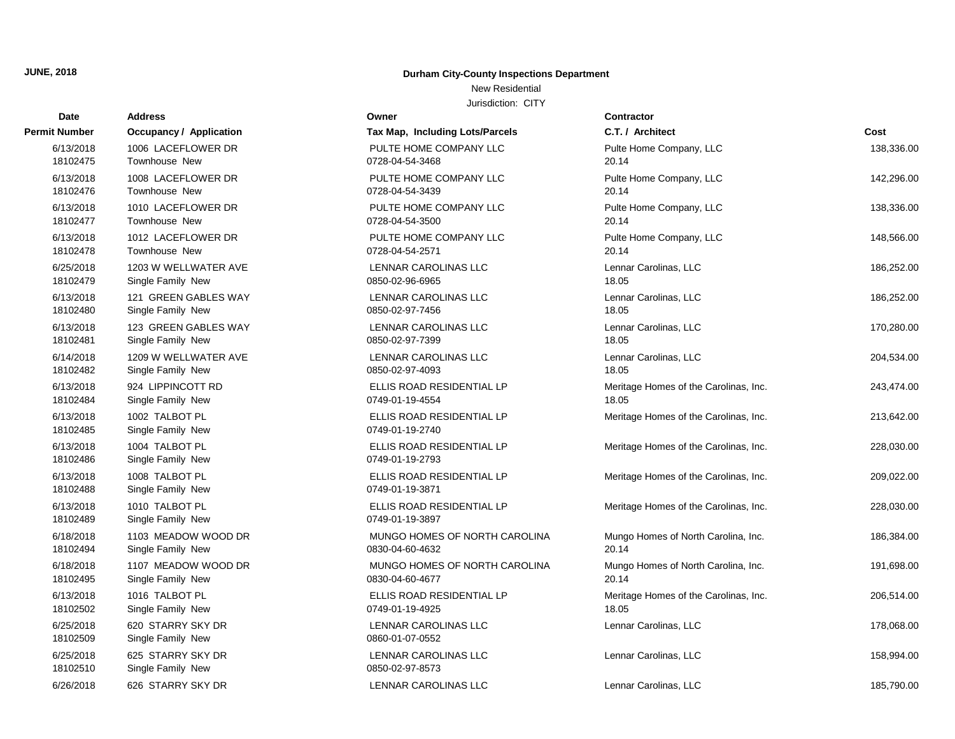## New Residential

| Date                  | <b>Address</b>                         | Owner                                        | <b>Contractor</b>                     |            |
|-----------------------|----------------------------------------|----------------------------------------------|---------------------------------------|------------|
| Permit Number         | <b>Occupancy / Application</b>         | Tax Map, Including Lots/Parcels              | C.T. / Architect                      | Cost       |
| 6/13/2018             | 1006 LACEFLOWER DR                     | PULTE HOME COMPANY LLC                       | Pulte Home Company, LLC               | 138,336.00 |
| 18102475              | Townhouse New                          | 0728-04-54-3468                              | 20.14                                 |            |
| 6/13/2018             | 1008 LACEFLOWER DR                     | PULTE HOME COMPANY LLC                       | Pulte Home Company, LLC               | 142,296.00 |
| 18102476              | Townhouse New                          | 0728-04-54-3439                              | 20.14                                 |            |
| 6/13/2018             | 1010 LACEFLOWER DR                     | PULTE HOME COMPANY LLC                       | Pulte Home Company, LLC               | 138,336.00 |
| 18102477              | Townhouse New                          | 0728-04-54-3500                              | 20.14                                 |            |
| 6/13/2018             | 1012 LACEFLOWER DR                     | PULTE HOME COMPANY LLC                       | Pulte Home Company, LLC               | 148,566.00 |
| 18102478              | <b>Townhouse New</b>                   | 0728-04-54-2571                              | 20.14                                 |            |
| 6/25/2018             | 1203 W WELLWATER AVE                   | LENNAR CAROLINAS LLC                         | Lennar Carolinas, LLC                 | 186,252.00 |
| 18102479              | Single Family New                      | 0850-02-96-6965                              | 18.05                                 |            |
| 6/13/2018             | 121 GREEN GABLES WAY                   | <b>LENNAR CAROLINAS LLC</b>                  | Lennar Carolinas, LLC                 | 186,252.00 |
| 18102480              | Single Family New                      | 0850-02-97-7456                              | 18.05                                 |            |
| 6/13/2018             | 123 GREEN GABLES WAY                   | LENNAR CAROLINAS LLC                         | Lennar Carolinas, LLC                 | 170,280.00 |
| 18102481              | Single Family New                      | 0850-02-97-7399                              | 18.05                                 |            |
| 6/14/2018             | 1209 W WELLWATER AVE                   | <b>LENNAR CAROLINAS LLC</b>                  | Lennar Carolinas, LLC                 | 204,534.00 |
| 18102482              | Single Family New                      | 0850-02-97-4093                              | 18.05                                 |            |
| 6/13/2018             | 924 LIPPINCOTT RD                      | ELLIS ROAD RESIDENTIAL LP                    | Meritage Homes of the Carolinas, Inc. | 243,474.00 |
| 18102484              | Single Family New                      | 0749-01-19-4554                              | 18.05                                 |            |
| 6/13/2018<br>18102485 | 1002 TALBOT PL<br>Single Family New    | ELLIS ROAD RESIDENTIAL LP<br>0749-01-19-2740 | Meritage Homes of the Carolinas, Inc. | 213,642.00 |
| 6/13/2018<br>18102486 | 1004 TALBOT PL<br>Single Family New    | ELLIS ROAD RESIDENTIAL LP<br>0749-01-19-2793 | Meritage Homes of the Carolinas, Inc. | 228,030.00 |
| 6/13/2018<br>18102488 | 1008 TALBOT PL<br>Single Family New    | ELLIS ROAD RESIDENTIAL LP<br>0749-01-19-3871 | Meritage Homes of the Carolinas, Inc. | 209,022.00 |
| 6/13/2018<br>18102489 | 1010 TALBOT PL<br>Single Family New    | ELLIS ROAD RESIDENTIAL LP<br>0749-01-19-3897 | Meritage Homes of the Carolinas, Inc. | 228,030.00 |
| 6/18/2018             | 1103 MEADOW WOOD DR                    | MUNGO HOMES OF NORTH CAROLINA                | Mungo Homes of North Carolina, Inc.   | 186,384.00 |
| 18102494              | Single Family New                      | 0830-04-60-4632                              | 20.14                                 |            |
| 6/18/2018             | 1107 MEADOW WOOD DR                    | MUNGO HOMES OF NORTH CAROLINA                | Mungo Homes of North Carolina, Inc.   | 191,698.00 |
| 18102495              | Single Family New                      | 0830-04-60-4677                              | 20.14                                 |            |
| 6/13/2018             | 1016 TALBOT PL                         | ELLIS ROAD RESIDENTIAL LP                    | Meritage Homes of the Carolinas, Inc. | 206,514.00 |
| 18102502              | Single Family New                      | 0749-01-19-4925                              | 18.05                                 |            |
| 6/25/2018<br>18102509 | 620 STARRY SKY DR<br>Single Family New | LENNAR CAROLINAS LLC<br>0860-01-07-0552      | Lennar Carolinas, LLC                 | 178,068.00 |
| 6/25/2018<br>18102510 | 625 STARRY SKY DR<br>Single Family New | LENNAR CAROLINAS LLC<br>0850-02-97-8573      | Lennar Carolinas, LLC                 | 158,994.00 |
| 6/26/2018             | 626 STARRY SKY DR                      | LENNAR CAROLINAS LLC                         | Lennar Carolinas, LLC                 | 185,790.00 |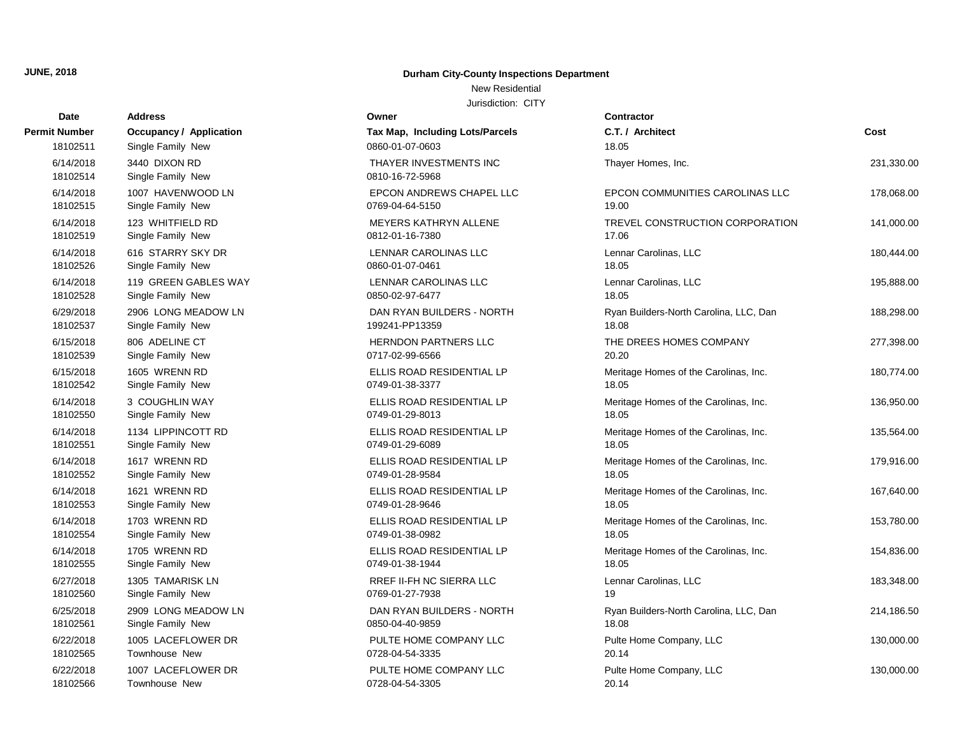#### New Residential

| Date                  | <b>Address</b>                     | Owner                                     | <b>Contractor</b>                      |            |
|-----------------------|------------------------------------|-------------------------------------------|----------------------------------------|------------|
| Permit Number         | <b>Occupancy / Application</b>     | Tax Map, Including Lots/Parcels           | C.T. / Architect                       | Cost       |
| 18102511              | Single Family New                  | 0860-01-07-0603                           | 18.05                                  |            |
| 6/14/2018<br>18102514 | 3440 DIXON RD<br>Single Family New | THAYER INVESTMENTS INC<br>0810-16-72-5968 | Thayer Homes, Inc.                     | 231,330.00 |
| 6/14/2018             | 1007 HAVENWOOD LN                  | EPCON ANDREWS CHAPEL LLC                  | EPCON COMMUNITIES CAROLINAS LLC        | 178,068.00 |
| 18102515              | Single Family New                  | 0769-04-64-5150                           | 19.00                                  |            |
| 6/14/2018             | 123 WHITFIELD RD                   | MEYERS KATHRYN ALLENE                     | TREVEL CONSTRUCTION CORPORATION        | 141,000.00 |
| 18102519              | Single Family New                  | 0812-01-16-7380                           | 17.06                                  |            |
| 6/14/2018             | 616 STARRY SKY DR                  | LENNAR CAROLINAS LLC                      | Lennar Carolinas, LLC                  | 180,444.00 |
| 18102526              | Single Family New                  | 0860-01-07-0461                           | 18.05                                  |            |
| 6/14/2018             | 119 GREEN GABLES WAY               | LENNAR CAROLINAS LLC                      | Lennar Carolinas, LLC                  | 195,888.00 |
| 18102528              | Single Family New                  | 0850-02-97-6477                           | 18.05                                  |            |
| 6/29/2018             | 2906 LONG MEADOW LN                | DAN RYAN BUILDERS - NORTH                 | Ryan Builders-North Carolina, LLC, Dan | 188,298.00 |
| 18102537              | Single Family New                  | 199241-PP13359                            | 18.08                                  |            |
| 6/15/2018             | 806 ADELINE CT                     | HERNDON PARTNERS LLC                      | THE DREES HOMES COMPANY                | 277,398.00 |
| 18102539              | Single Family New                  | 0717-02-99-6566                           | 20.20                                  |            |
| 6/15/2018             | 1605 WRENN RD                      | ELLIS ROAD RESIDENTIAL LP                 | Meritage Homes of the Carolinas, Inc.  | 180,774.00 |
| 18102542              | Single Family New                  | 0749-01-38-3377                           | 18.05                                  |            |
| 6/14/2018             | 3 COUGHLIN WAY                     | ELLIS ROAD RESIDENTIAL LP                 | Meritage Homes of the Carolinas, Inc.  | 136,950.00 |
| 18102550              | Single Family New                  | 0749-01-29-8013                           | 18.05                                  |            |
| 6/14/2018             | 1134 LIPPINCOTT RD                 | ELLIS ROAD RESIDENTIAL LP                 | Meritage Homes of the Carolinas, Inc.  | 135,564.00 |
| 18102551              | Single Family New                  | 0749-01-29-6089                           | 18.05                                  |            |
| 6/14/2018             | 1617 WRENN RD                      | ELLIS ROAD RESIDENTIAL LP                 | Meritage Homes of the Carolinas, Inc.  | 179,916.00 |
| 18102552              | Single Family New                  | 0749-01-28-9584                           | 18.05                                  |            |
| 6/14/2018             | 1621 WRENN RD                      | ELLIS ROAD RESIDENTIAL LP                 | Meritage Homes of the Carolinas, Inc.  | 167,640.00 |
| 18102553              | Single Family New                  | 0749-01-28-9646                           | 18.05                                  |            |
| 6/14/2018             | 1703 WRENN RD                      | ELLIS ROAD RESIDENTIAL LP                 | Meritage Homes of the Carolinas, Inc.  | 153,780.00 |
| 18102554              | Single Family New                  | 0749-01-38-0982                           | 18.05                                  |            |
| 6/14/2018             | 1705 WRENN RD                      | ELLIS ROAD RESIDENTIAL LP                 | Meritage Homes of the Carolinas, Inc.  | 154,836.00 |
| 18102555              | Single Family New                  | 0749-01-38-1944                           | 18.05                                  |            |
| 6/27/2018             | 1305 TAMARISK LN                   | RREF II-FH NC SIERRA LLC                  | Lennar Carolinas, LLC                  | 183,348.00 |
| 18102560              | Single Family New                  | 0769-01-27-7938                           | 19                                     |            |
| 6/25/2018             | 2909 LONG MEADOW LN                | DAN RYAN BUILDERS - NORTH                 | Ryan Builders-North Carolina, LLC, Dan | 214,186.50 |
| 18102561              | Single Family New                  | 0850-04-40-9859                           | 18.08                                  |            |
| 6/22/2018             | 1005 LACEFLOWER DR                 | PULTE HOME COMPANY LLC                    | Pulte Home Company, LLC                | 130,000.00 |
| 18102565              | Townhouse New                      | 0728-04-54-3335                           | 20.14                                  |            |
| 6/22/2018             | 1007 LACEFLOWER DR                 | PULTE HOME COMPANY LLC                    | Pulte Home Company, LLC                | 130,000.00 |
| 18102566              | Townhouse New                      | 0728-04-54-3305                           | 20.14                                  |            |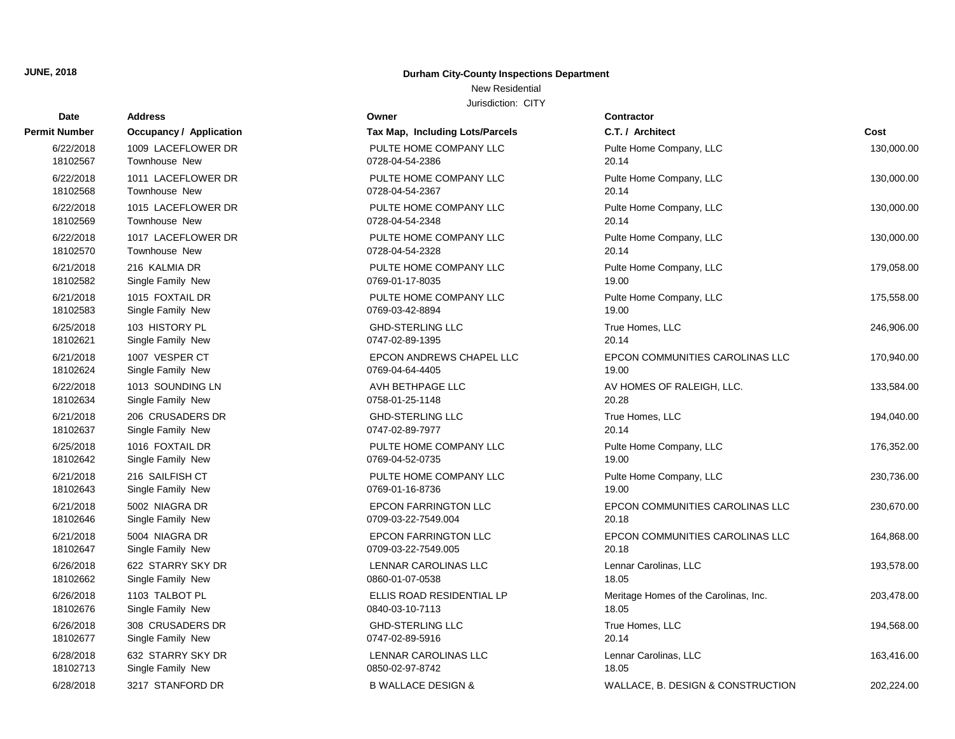# **Date Contractor Address Owner Permit Number Occupancy / Application Tax Map, Including Construction** 18102713 Single Family New 0850-02-97-8742 18102677 Single Family New 0747-02-89-5916 20.14 18102676 Single Family New 0840-03-10-7113 18102662 Single Family New 0860-01-07-0538 18102647 Single Family New 2012 2013 22-7549.005 18102646 Single Family New 20709-03-22-7549.004 18102643 Single Family New 0769-01-16-8736 18102642 Single Family New 0769-04-52-0735 18102637 Single Family New 0747-02-89-7977 18102634 Single Family New 20158-01-25-1148 18102624 Single Family New 0769-04-64-4405 18102621 Single Family New 0747-02-89-1395 18102583 Single Family New 2010 18102583 CHS 18102582 Single Family New 0769-01-17-8035 18102570 Townhouse New 2012 18102570 Townhouse New 20.14 20.14 20.14 20.14 20.14 20.14 20.14 20.14 20.14 20.14 18102569 Townhouse New 2012 18102569 Townhouse New 20.14 20.14 20.14 20.14 20.14 20.14 20.14 20.14 20.14 20.1 6/22/2018 1017 LACEFLOWER DR PULTE HOME COM 18102568 Townhouse New 2012 18102568 Townhouse New 2008 6/22/2018 1015 LACEFLOWER DR PULTE HOME COM 18102567 Townhouse New 20.14 and 20.14 and 20.14 and 20.14 and 20.14 and 20.14 and 20.14 and 20.14 and 20.14 a 6/22/2018 1011 LACEFLOWER DR PULTE HOME COM 6/22/2018 1009 LACEFLOWER DR PULTE HOME COM

#### **JUNE, 2018 Durham City-County Inspections Department**

## New Residential

| Dale      | Auuress                        |                                 | <b>UUIIII dului</b>                   |            |
|-----------|--------------------------------|---------------------------------|---------------------------------------|------------|
| t Number  | <b>Occupancy / Application</b> | Tax Map, Including Lots/Parcels | C.T. / Architect                      | Cost       |
| 6/22/2018 | 1009 LACEFLOWER DR             | PULTE HOME COMPANY LLC          | Pulte Home Company, LLC               | 130,000.00 |
| 18102567  | <b>Townhouse New</b>           | 0728-04-54-2386                 | 20.14                                 |            |
| 6/22/2018 | 1011 LACEFLOWER DR             | PULTE HOME COMPANY LLC          | Pulte Home Company, LLC               | 130,000.00 |
| 18102568  | Townhouse New                  | 0728-04-54-2367                 | 20.14                                 |            |
| 6/22/2018 | 1015 LACEFLOWER DR             | PULTE HOME COMPANY LLC          | Pulte Home Company, LLC               | 130,000.00 |
| 18102569  | Townhouse New                  | 0728-04-54-2348                 | 20.14                                 |            |
| 6/22/2018 | 1017 LACEFLOWER DR             | PULTE HOME COMPANY LLC          | Pulte Home Company, LLC               | 130,000.00 |
| 18102570  | Townhouse New                  | 0728-04-54-2328                 | 20.14                                 |            |
| 6/21/2018 | 216 KALMIA DR                  | PULTE HOME COMPANY LLC          | Pulte Home Company, LLC               | 179,058.00 |
| 18102582  | Single Family New              | 0769-01-17-8035                 | 19.00                                 |            |
| 6/21/2018 | 1015 FOXTAIL DR                | PULTE HOME COMPANY LLC          | Pulte Home Company, LLC               | 175,558.00 |
| 18102583  | Single Family New              | 0769-03-42-8894                 | 19.00                                 |            |
| 6/25/2018 | 103 HISTORY PL                 | <b>GHD-STERLING LLC</b>         | True Homes, LLC                       | 246,906.00 |
| 18102621  | Single Family New              | 0747-02-89-1395                 | 20.14                                 |            |
| 6/21/2018 | 1007 VESPER CT                 | EPCON ANDREWS CHAPEL LLC        | EPCON COMMUNITIES CAROLINAS LLC       | 170,940.00 |
| 18102624  | Single Family New              | 0769-04-64-4405                 | 19.00                                 |            |
| 6/22/2018 | 1013 SOUNDING LN               | AVH BETHPAGE LLC                | AV HOMES OF RALEIGH, LLC.             | 133,584.00 |
| 18102634  | Single Family New              | 0758-01-25-1148                 | 20.28                                 |            |
| 6/21/2018 | 206 CRUSADERS DR               | <b>GHD-STERLING LLC</b>         | True Homes, LLC                       | 194,040.00 |
| 18102637  | Single Family New              | 0747-02-89-7977                 | 20.14                                 |            |
| 6/25/2018 | 1016 FOXTAIL DR                | PULTE HOME COMPANY LLC          | Pulte Home Company, LLC               | 176,352.00 |
| 18102642  | Single Family New              | 0769-04-52-0735                 | 19.00                                 |            |
| 6/21/2018 | 216 SAILFISH CT                | PULTE HOME COMPANY LLC          | Pulte Home Company, LLC               | 230,736.00 |
| 18102643  | Single Family New              | 0769-01-16-8736                 | 19.00                                 |            |
| 6/21/2018 | 5002 NIAGRA DR                 | <b>EPCON FARRINGTON LLC</b>     | EPCON COMMUNITIES CAROLINAS LLC       | 230,670.00 |
| 18102646  | Single Family New              | 0709-03-22-7549.004             | 20.18                                 |            |
| 6/21/2018 | 5004 NIAGRA DR                 | <b>EPCON FARRINGTON LLC</b>     | EPCON COMMUNITIES CAROLINAS LLC       | 164,868.00 |
| 18102647  | Single Family New              | 0709-03-22-7549.005             | 20.18                                 |            |
| 6/26/2018 | 622 STARRY SKY DR              | LENNAR CAROLINAS LLC            | Lennar Carolinas, LLC                 | 193,578.00 |
| 18102662  | Single Family New              | 0860-01-07-0538                 | 18.05                                 |            |
| 6/26/2018 | 1103 TALBOT PL                 | ELLIS ROAD RESIDENTIAL LP       | Meritage Homes of the Carolinas, Inc. | 203,478.00 |
| 18102676  | Single Family New              | 0840-03-10-7113                 | 18.05                                 |            |
| 6/26/2018 | 308 CRUSADERS DR               | <b>GHD-STERLING LLC</b>         | True Homes, LLC                       | 194,568.00 |
| 18102677  | Single Family New              | 0747-02-89-5916                 | 20.14                                 |            |
| 6/28/2018 | 632 STARRY SKY DR              | LENNAR CAROLINAS LLC            | Lennar Carolinas, LLC                 | 163,416.00 |
| 18102713  | Single Family New              | 0850-02-97-8742                 | 18.05                                 |            |
| 6/28/2018 | 3217 STANFORD DR               | <b>B WALLACE DESIGN &amp;</b>   | WALLACE, B. DESIGN & CONSTRUCTION     | 202,224.00 |